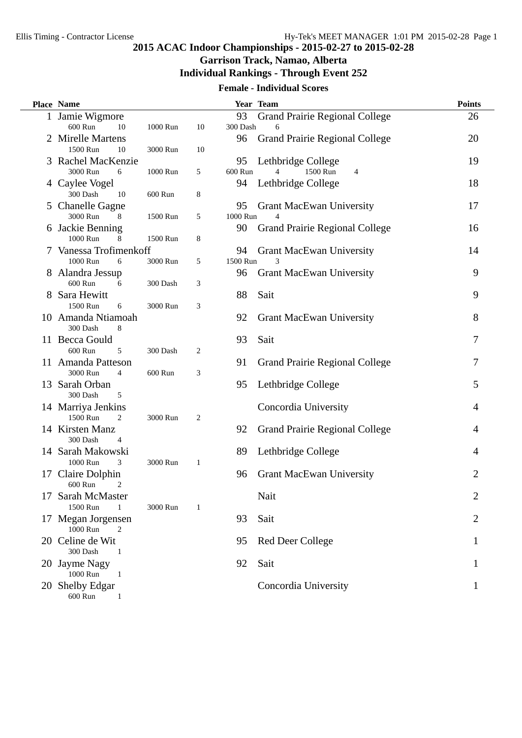# **2015 ACAC Indoor Championships - 2015-02-27 to 2015-02-28**

#### **Garrison Track, Namao, Alberta**

#### **Individual Rankings - Through Event 252**

#### **Female - Individual Scores**

|    | Place Name                       |          |                  |                | Year Team                                  | <b>Points</b>  |
|----|----------------------------------|----------|------------------|----------------|--------------------------------------------|----------------|
|    | 1 Jamie Wigmore<br>600 Run<br>10 | 1000 Run | 10               | 93<br>300 Dash | <b>Grand Prairie Regional College</b><br>6 | 26             |
|    | 2 Mirelle Martens                |          |                  | 96             | <b>Grand Prairie Regional College</b>      | 20             |
|    | 1500 Run<br>10                   | 3000 Run | 10               |                |                                            |                |
|    | 3 Rachel MacKenzie               |          |                  | 95             | Lethbridge College                         | 19             |
|    | 3000 Run<br>6                    | 1000 Run | 5                | 600 Run        | 1500 Run<br>4<br>4                         |                |
|    | 4 Caylee Vogel                   |          |                  | 94             | Lethbridge College                         | 18             |
|    | 300 Dash<br>10                   | 600 Run  | 8                |                |                                            |                |
|    | 5 Chanelle Gagne                 |          |                  | 95             | <b>Grant MacEwan University</b>            | 17             |
|    | 3000 Run<br>8                    | 1500 Run | 5                | 1000 Run       | $\overline{\mathcal{L}}$                   |                |
|    | 6 Jackie Benning                 |          |                  | 90             | <b>Grand Prairie Regional College</b>      | 16             |
|    | 1000 Run<br>8                    | 1500 Run | 8                |                |                                            |                |
| 7  | Vanessa Trofimenkoff             |          |                  | 94             | <b>Grant MacEwan University</b>            | 14             |
|    | 1000 Run<br>6                    | 3000 Run | 5                | 1500 Run       |                                            |                |
|    | 8 Alandra Jessup<br>600 Run<br>6 | 300 Dash | 3                | 96             | <b>Grant MacEwan University</b>            | 9              |
|    | 8 Sara Hewitt                    |          |                  | 88             | Sait                                       | 9              |
|    | 1500 Run<br>6                    | 3000 Run | 3                |                |                                            |                |
|    | 10 Amanda Ntiamoah               |          |                  | 92             | <b>Grant MacEwan University</b>            | 8              |
|    | 300 Dash<br>8                    |          |                  |                |                                            |                |
|    | 11 Becca Gould                   |          |                  | 93             | Sait                                       | 7              |
|    | 600 Run<br>5                     | 300 Dash | $\boldsymbol{2}$ |                |                                            |                |
|    | 11 Amanda Patteson               |          |                  | 91             | <b>Grand Prairie Regional College</b>      | 7              |
|    | 3000 Run<br>$\overline{4}$       | 600 Run  | 3                |                |                                            |                |
|    | 13 Sarah Orban                   |          |                  | 95             | Lethbridge College                         | 5              |
|    | 300 Dash<br>5                    |          |                  |                |                                            |                |
|    | 14 Marriya Jenkins               |          |                  |                | Concordia University                       | 4              |
|    | 1500 Run<br>2                    | 3000 Run | 2                |                |                                            |                |
|    | 14 Kirsten Manz                  |          |                  | 92             | <b>Grand Prairie Regional College</b>      | $\overline{4}$ |
|    | 300 Dash<br>4                    |          |                  |                |                                            |                |
|    | 14 Sarah Makowski                |          |                  | 89             | Lethbridge College                         | 4              |
|    | 1000 Run<br>3                    | 3000 Run | $\mathbf{1}$     |                |                                            |                |
| 17 | Claire Dolphin<br>600 Run<br>2   |          |                  | 96             | <b>Grant MacEwan University</b>            | 2              |
| 17 | Sarah McMaster                   |          |                  |                | Nait                                       | 2              |
|    | 1500 Run<br>1                    | 3000 Run | $\mathbf{1}$     |                |                                            |                |
| T. | Megan Jorgensen                  |          |                  | 93             | Sait                                       | 2              |
|    | 1000 Run<br>2                    |          |                  |                |                                            |                |
| 20 | Celine de Wit                    |          |                  | 95             | <b>Red Deer College</b>                    | 1              |
|    | 300 Dash<br>-1                   |          |                  |                |                                            |                |
|    | 20 Jayme Nagy                    |          |                  | 92             | Sait                                       | 1              |
|    | 1000 Run<br>1                    |          |                  |                |                                            |                |
|    | 20 Shelby Edgar                  |          |                  |                | Concordia University                       | 1              |
|    | 600 Run<br>1                     |          |                  |                |                                            |                |